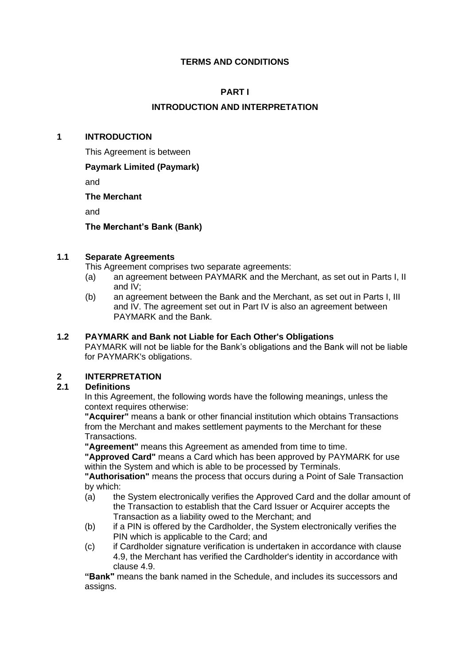# **TERMS AND CONDITIONS**

# **PART I**

# **INTRODUCTION AND INTERPRETATION**

#### **1 INTRODUCTION**

This Agreement is between

#### **Paymark Limited (Paymark)**

and

#### **The Merchant**

and

**The Merchant's Bank (Bank)**

#### **1.1 Separate Agreements**

This Agreement comprises two separate agreements:

- (a) an agreement between PAYMARK and the Merchant, as set out in Parts I, II and IV;
- (b) an agreement between the Bank and the Merchant, as set out in Parts I, III and IV. The agreement set out in Part IV is also an agreement between PAYMARK and the Bank.

#### **1.2 PAYMARK and Bank not Liable for Each Other's Obligations**

PAYMARK will not be liable for the Bank's obligations and the Bank will not be liable for PAYMARK's obligations.

# **2 INTERPRETATION**

#### **2.1 Definitions**

In this Agreement, the following words have the following meanings, unless the context requires otherwise:

**"Acquirer"** means a bank or other financial institution which obtains Transactions from the Merchant and makes settlement payments to the Merchant for these Transactions.

**"Agreement"** means this Agreement as amended from time to time.

**"Approved Card"** means a Card which has been approved by PAYMARK for use within the System and which is able to be processed by Terminals.

**"Authorisation"** means the process that occurs during a Point of Sale Transaction by which:

- (a) the System electronically verifies the Approved Card and the dollar amount of the Transaction to establish that the Card Issuer or Acquirer accepts the Transaction as a liability owed to the Merchant; and
- (b) if a PIN is offered by the Cardholder, the System electronically verifies the PIN which is applicable to the Card; and
- (c) if Cardholder signature verification is undertaken in accordance with clause 4.9, the Merchant has verified the Cardholder's identity in accordance with clause 4.9.

**"Bank"** means the bank named in the Schedule, and includes its successors and assigns.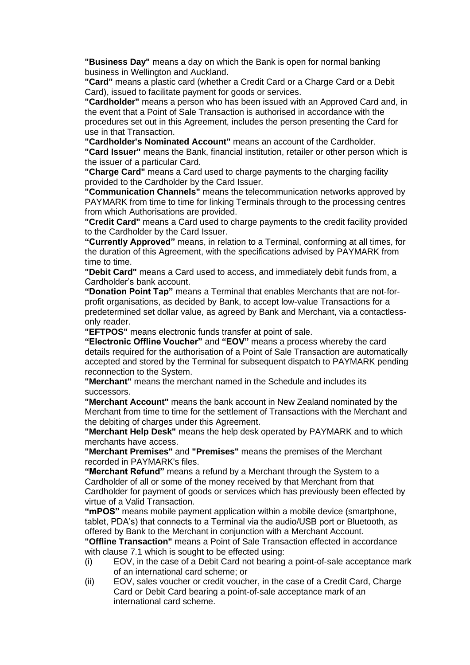**"Business Day"** means a day on which the Bank is open for normal banking business in Wellington and Auckland.

**"Card"** means a plastic card (whether a Credit Card or a Charge Card or a Debit Card), issued to facilitate payment for goods or services.

**"Cardholder"** means a person who has been issued with an Approved Card and, in the event that a Point of Sale Transaction is authorised in accordance with the procedures set out in this Agreement, includes the person presenting the Card for use in that Transaction.

**"Cardholder's Nominated Account"** means an account of the Cardholder.

**"Card Issuer"** means the Bank, financial institution, retailer or other person which is the issuer of a particular Card.

**"Charge Card"** means a Card used to charge payments to the charging facility provided to the Cardholder by the Card Issuer.

**"Communication Channels"** means the telecommunication networks approved by PAYMARK from time to time for linking Terminals through to the processing centres from which Authorisations are provided.

**"Credit Card"** means a Card used to charge payments to the credit facility provided to the Cardholder by the Card Issuer.

**"Currently Approved"** means, in relation to a Terminal, conforming at all times, for the duration of this Agreement, with the specifications advised by PAYMARK from time to time.

**"Debit Card"** means a Card used to access, and immediately debit funds from, a Cardholder's bank account.

**"Donation Point Tap"** means a Terminal that enables Merchants that are not-forprofit organisations, as decided by Bank, to accept low-value Transactions for a predetermined set dollar value, as agreed by Bank and Merchant, via a contactlessonly reader.

**"EFTPOS"** means electronic funds transfer at point of sale.

**"Electronic Offline Voucher"** and **"EOV"** means a process whereby the card details required for the authorisation of a Point of Sale Transaction are automatically accepted and stored by the Terminal for subsequent dispatch to PAYMARK pending reconnection to the System.

**"Merchant"** means the merchant named in the Schedule and includes its successors.

**"Merchant Account"** means the bank account in New Zealand nominated by the Merchant from time to time for the settlement of Transactions with the Merchant and the debiting of charges under this Agreement.

**"Merchant Help Desk"** means the help desk operated by PAYMARK and to which merchants have access.

**"Merchant Premises"** and **"Premises"** means the premises of the Merchant recorded in PAYMARK's files.

**"Merchant Refund"** means a refund by a Merchant through the System to a Cardholder of all or some of the money received by that Merchant from that Cardholder for payment of goods or services which has previously been effected by virtue of a Valid Transaction.

**"mPOS"** means mobile payment application within a mobile device (smartphone, tablet, PDA's) that connects to a Terminal via the audio/USB port or Bluetooth, as offered by Bank to the Merchant in conjunction with a Merchant Account.

**"Offline Transaction"** means a Point of Sale Transaction effected in accordance with clause 7.1 which is sought to be effected using:

- (i) EOV, in the case of a Debit Card not bearing a point-of-sale acceptance mark of an international card scheme; or
- (ii) EOV, sales voucher or credit voucher, in the case of a Credit Card, Charge Card or Debit Card bearing a point-of-sale acceptance mark of an international card scheme.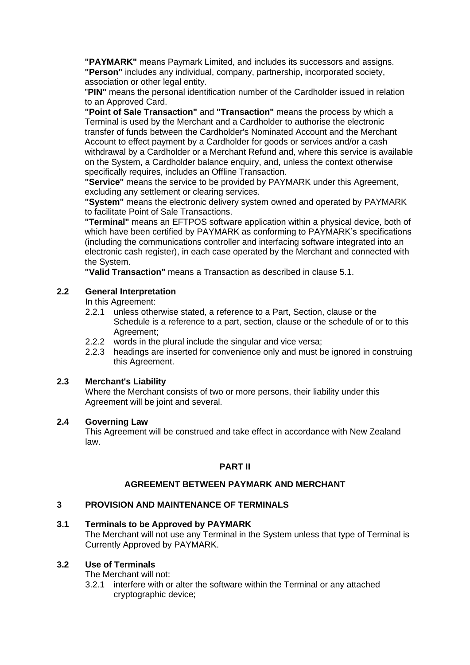**"PAYMARK"** means Paymark Limited, and includes its successors and assigns. **"Person"** includes any individual, company, partnership, incorporated society, association or other legal entity.

"**PIN"** means the personal identification number of the Cardholder issued in relation to an Approved Card.

**"Point of Sale Transaction"** and **"Transaction"** means the process by which a Terminal is used by the Merchant and a Cardholder to authorise the electronic transfer of funds between the Cardholder's Nominated Account and the Merchant Account to effect payment by a Cardholder for goods or services and/or a cash withdrawal by a Cardholder or a Merchant Refund and, where this service is available on the System, a Cardholder balance enquiry, and, unless the context otherwise specifically requires, includes an Offline Transaction.

**"Service"** means the service to be provided by PAYMARK under this Agreement, excluding any settlement or clearing services.

**"System"** means the electronic delivery system owned and operated by PAYMARK to facilitate Point of Sale Transactions.

**"Terminal"** means an EFTPOS software application within a physical device, both of which have been certified by PAYMARK as conforming to PAYMARK's specifications (including the communications controller and interfacing software integrated into an electronic cash register), in each case operated by the Merchant and connected with the System.

**"Valid Transaction"** means a Transaction as described in clause 5.1.

## **2.2 General Interpretation**

In this Agreement:

- 2.2.1 unless otherwise stated, a reference to a Part, Section, clause or the Schedule is a reference to a part, section, clause or the schedule of or to this Agreement;
- 2.2.2 words in the plural include the singular and vice versa;
- 2.2.3 headings are inserted for convenience only and must be ignored in construing this Agreement.

#### **2.3 Merchant's Liability**

Where the Merchant consists of two or more persons, their liability under this Agreement will be joint and several.

#### **2.4 Governing Law**

This Agreement will be construed and take effect in accordance with New Zealand law.

#### **PART II**

#### **AGREEMENT BETWEEN PAYMARK AND MERCHANT**

#### **3 PROVISION AND MAINTENANCE OF TERMINALS**

#### **3.1 Terminals to be Approved by PAYMARK**

The Merchant will not use any Terminal in the System unless that type of Terminal is Currently Approved by PAYMARK.

#### **3.2 Use of Terminals**

The Merchant will not:

3.2.1 interfere with or alter the software within the Terminal or any attached cryptographic device;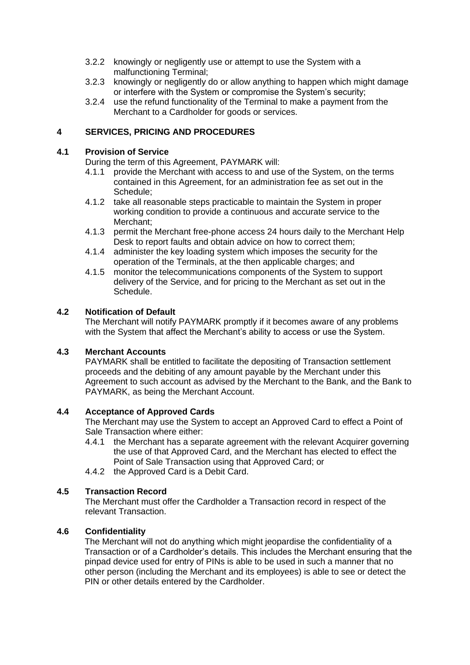- 3.2.2 knowingly or negligently use or attempt to use the System with a malfunctioning Terminal;
- 3.2.3 knowingly or negligently do or allow anything to happen which might damage or interfere with the System or compromise the System's security;
- 3.2.4 use the refund functionality of the Terminal to make a payment from the Merchant to a Cardholder for goods or services.

## **4 SERVICES, PRICING AND PROCEDURES**

#### **4.1 Provision of Service**

During the term of this Agreement, PAYMARK will:

- 4.1.1 provide the Merchant with access to and use of the System, on the terms contained in this Agreement, for an administration fee as set out in the Schedule;
- 4.1.2 take all reasonable steps practicable to maintain the System in proper working condition to provide a continuous and accurate service to the Merchant<sup>:</sup>
- 4.1.3 permit the Merchant free-phone access 24 hours daily to the Merchant Help Desk to report faults and obtain advice on how to correct them;
- 4.1.4 administer the key loading system which imposes the security for the operation of the Terminals, at the then applicable charges; and
- 4.1.5 monitor the telecommunications components of the System to support delivery of the Service, and for pricing to the Merchant as set out in the Schedule.

#### **4.2 Notification of Default**

The Merchant will notify PAYMARK promptly if it becomes aware of any problems with the System that affect the Merchant's ability to access or use the System.

#### **4.3 Merchant Accounts**

PAYMARK shall be entitled to facilitate the depositing of Transaction settlement proceeds and the debiting of any amount payable by the Merchant under this Agreement to such account as advised by the Merchant to the Bank, and the Bank to PAYMARK, as being the Merchant Account.

#### **4.4 Acceptance of Approved Cards**

The Merchant may use the System to accept an Approved Card to effect a Point of Sale Transaction where either:

- 4.4.1 the Merchant has a separate agreement with the relevant Acquirer governing the use of that Approved Card, and the Merchant has elected to effect the Point of Sale Transaction using that Approved Card; or
- 4.4.2 the Approved Card is a Debit Card.

#### **4.5 Transaction Record**

The Merchant must offer the Cardholder a Transaction record in respect of the relevant Transaction.

#### **4.6 Confidentiality**

The Merchant will not do anything which might jeopardise the confidentiality of a Transaction or of a Cardholder's details. This includes the Merchant ensuring that the pinpad device used for entry of PINs is able to be used in such a manner that no other person (including the Merchant and its employees) is able to see or detect the PIN or other details entered by the Cardholder.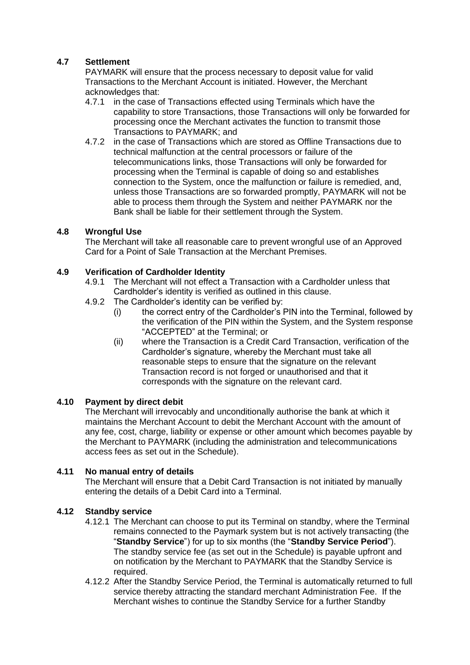# **4.7 Settlement**

PAYMARK will ensure that the process necessary to deposit value for valid Transactions to the Merchant Account is initiated. However, the Merchant acknowledges that:

- 4.7.1 in the case of Transactions effected using Terminals which have the capability to store Transactions, those Transactions will only be forwarded for processing once the Merchant activates the function to transmit those Transactions to PAYMARK; and
- 4.7.2 in the case of Transactions which are stored as Offline Transactions due to technical malfunction at the central processors or failure of the telecommunications links, those Transactions will only be forwarded for processing when the Terminal is capable of doing so and establishes connection to the System, once the malfunction or failure is remedied, and, unless those Transactions are so forwarded promptly, PAYMARK will not be able to process them through the System and neither PAYMARK nor the Bank shall be liable for their settlement through the System.

# **4.8 Wrongful Use**

The Merchant will take all reasonable care to prevent wrongful use of an Approved Card for a Point of Sale Transaction at the Merchant Premises.

#### **4.9 Verification of Cardholder Identity**

- 4.9.1 The Merchant will not effect a Transaction with a Cardholder unless that Cardholder's identity is verified as outlined in this clause.
- 4.9.2 The Cardholder's identity can be verified by:
	- (i) the correct entry of the Cardholder's PIN into the Terminal, followed by the verification of the PIN within the System, and the System response "ACCEPTED" at the Terminal; or
	- (ii) where the Transaction is a Credit Card Transaction, verification of the Cardholder's signature, whereby the Merchant must take all reasonable steps to ensure that the signature on the relevant Transaction record is not forged or unauthorised and that it corresponds with the signature on the relevant card.

#### **4.10 Payment by direct debit**

The Merchant will irrevocably and unconditionally authorise the bank at which it maintains the Merchant Account to debit the Merchant Account with the amount of any fee, cost, charge, liability or expense or other amount which becomes payable by the Merchant to PAYMARK (including the administration and telecommunications access fees as set out in the Schedule).

#### **4.11 No manual entry of details**

The Merchant will ensure that a Debit Card Transaction is not initiated by manually entering the details of a Debit Card into a Terminal.

#### **4.12 Standby service**

- 4.12.1 The Merchant can choose to put its Terminal on standby, where the Terminal remains connected to the Paymark system but is not actively transacting (the "**Standby Service**") for up to six months (the "**Standby Service Period**"). The standby service fee (as set out in the Schedule) is payable upfront and on notification by the Merchant to PAYMARK that the Standby Service is required.
- 4.12.2 After the Standby Service Period, the Terminal is automatically returned to full service thereby attracting the standard merchant Administration Fee. If the Merchant wishes to continue the Standby Service for a further Standby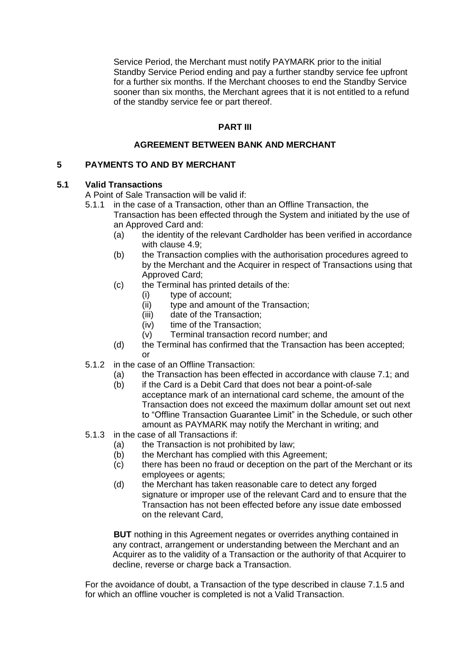Service Period, the Merchant must notify PAYMARK prior to the initial Standby Service Period ending and pay a further standby service fee upfront for a further six months. If the Merchant chooses to end the Standby Service sooner than six months, the Merchant agrees that it is not entitled to a refund of the standby service fee or part thereof.

# **PART III**

#### **AGREEMENT BETWEEN BANK AND MERCHANT**

#### **5 PAYMENTS TO AND BY MERCHANT**

#### **5.1 Valid Transactions**

A Point of Sale Transaction will be valid if:

- 5.1.1 in the case of a Transaction, other than an Offline Transaction, the Transaction has been effected through the System and initiated by the use of an Approved Card and:
	- (a) the identity of the relevant Cardholder has been verified in accordance with clause 4.9;
	- (b) the Transaction complies with the authorisation procedures agreed to by the Merchant and the Acquirer in respect of Transactions using that Approved Card;
	- (c) the Terminal has printed details of the:
		- (i) type of account;
		- (ii) type and amount of the Transaction;
		- (iii) date of the Transaction;
		- (iv) time of the Transaction;
		- (v) Terminal transaction record number; and
	- (d) the Terminal has confirmed that the Transaction has been accepted; or
- 5.1.2 in the case of an Offline Transaction:
	- (a) the Transaction has been effected in accordance with clause 7.1; and
	- (b) if the Card is a Debit Card that does not bear a point-of-sale acceptance mark of an international card scheme, the amount of the Transaction does not exceed the maximum dollar amount set out next to "Offline Transaction Guarantee Limit" in the Schedule, or such other amount as PAYMARK may notify the Merchant in writing; and
- 5.1.3 in the case of all Transactions if:
	- (a) the Transaction is not prohibited by law;
	- (b) the Merchant has complied with this Agreement;
	- (c) there has been no fraud or deception on the part of the Merchant or its employees or agents;
	- (d) the Merchant has taken reasonable care to detect any forged signature or improper use of the relevant Card and to ensure that the Transaction has not been effected before any issue date embossed on the relevant Card,

**BUT** nothing in this Agreement negates or overrides anything contained in any contract, arrangement or understanding between the Merchant and an Acquirer as to the validity of a Transaction or the authority of that Acquirer to decline, reverse or charge back a Transaction.

For the avoidance of doubt, a Transaction of the type described in clause 7.1.5 and for which an offline voucher is completed is not a Valid Transaction.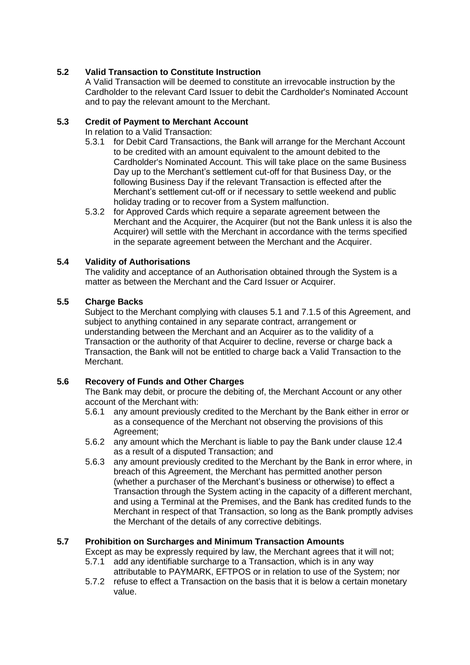# **5.2 Valid Transaction to Constitute Instruction**

A Valid Transaction will be deemed to constitute an irrevocable instruction by the Cardholder to the relevant Card Issuer to debit the Cardholder's Nominated Account and to pay the relevant amount to the Merchant.

# **5.3 Credit of Payment to Merchant Account**

In relation to a Valid Transaction:

- 5.3.1 for Debit Card Transactions, the Bank will arrange for the Merchant Account to be credited with an amount equivalent to the amount debited to the Cardholder's Nominated Account. This will take place on the same Business Day up to the Merchant's settlement cut-off for that Business Day, or the following Business Day if the relevant Transaction is effected after the Merchant's settlement cut-off or if necessary to settle weekend and public holiday trading or to recover from a System malfunction.
- 5.3.2 for Approved Cards which require a separate agreement between the Merchant and the Acquirer, the Acquirer (but not the Bank unless it is also the Acquirer) will settle with the Merchant in accordance with the terms specified in the separate agreement between the Merchant and the Acquirer.

# **5.4 Validity of Authorisations**

The validity and acceptance of an Authorisation obtained through the System is a matter as between the Merchant and the Card Issuer or Acquirer.

# **5.5 Charge Backs**

Subject to the Merchant complying with clauses 5.1 and 7.1.5 of this Agreement, and subject to anything contained in any separate contract, arrangement or understanding between the Merchant and an Acquirer as to the validity of a Transaction or the authority of that Acquirer to decline, reverse or charge back a Transaction, the Bank will not be entitled to charge back a Valid Transaction to the Merchant.

# **5.6 Recovery of Funds and Other Charges**

The Bank may debit, or procure the debiting of, the Merchant Account or any other account of the Merchant with:

- 5.6.1 any amount previously credited to the Merchant by the Bank either in error or as a consequence of the Merchant not observing the provisions of this Agreement;
- 5.6.2 any amount which the Merchant is liable to pay the Bank under clause 12.4 as a result of a disputed Transaction; and
- 5.6.3 any amount previously credited to the Merchant by the Bank in error where, in breach of this Agreement, the Merchant has permitted another person (whether a purchaser of the Merchant's business or otherwise) to effect a Transaction through the System acting in the capacity of a different merchant, and using a Terminal at the Premises, and the Bank has credited funds to the Merchant in respect of that Transaction, so long as the Bank promptly advises the Merchant of the details of any corrective debitings.

#### **5.7 Prohibition on Surcharges and Minimum Transaction Amounts**

Except as may be expressly required by law, the Merchant agrees that it will not;

- 5.7.1 add any identifiable surcharge to a Transaction, which is in any way attributable to PAYMARK, EFTPOS or in relation to use of the System; nor
- 5.7.2 refuse to effect a Transaction on the basis that it is below a certain monetary value.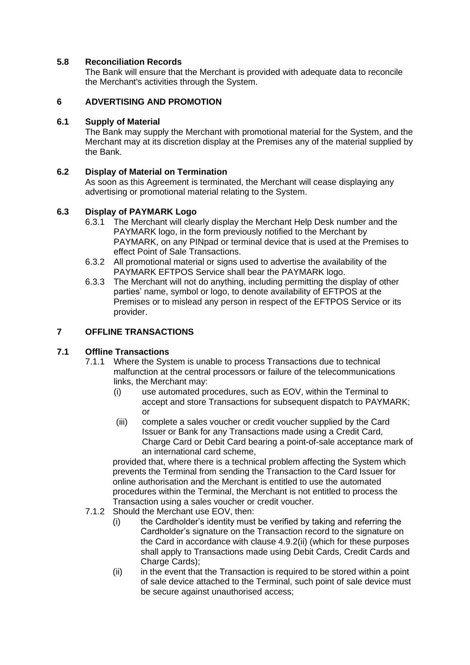## **5.8 Reconciliation Records**

The Bank will ensure that the Merchant is provided with adequate data to reconcile the Merchant's activities through the System.

# **6 ADVERTISING AND PROMOTION**

#### **6.1 Supply of Material**

The Bank may supply the Merchant with promotional material for the System, and the Merchant may at its discretion display at the Premises any of the material supplied by the Bank.

# **6.2 Display of Material on Termination**

As soon as this Agreement is terminated, the Merchant will cease displaying any advertising or promotional material relating to the System.

# **6.3 Display of PAYMARK Logo**

- 6.3.1 The Merchant will clearly display the Merchant Help Desk number and the PAYMARK logo, in the form previously notified to the Merchant by PAYMARK, on any PINpad or terminal device that is used at the Premises to effect Point of Sale Transactions.
- 6.3.2 All promotional material or signs used to advertise the availability of the PAYMARK EFTPOS Service shall bear the PAYMARK logo.
- 6.3.3 The Merchant will not do anything, including permitting the display of other parties' name, symbol or logo, to denote availability of EFTPOS at the Premises or to mislead any person in respect of the EFTPOS Service or its provider.

# **7 OFFLINE TRANSACTIONS**

#### **7.1 Offline Transactions**

- 7.1.1 Where the System is unable to process Transactions due to technical malfunction at the central processors or failure of the telecommunications links, the Merchant may:
	- (i) use automated procedures, such as EOV, within the Terminal to accept and store Transactions for subsequent dispatch to PAYMARK; or
	- (iii) complete a sales voucher or credit voucher supplied by the Card Issuer or Bank for any Transactions made using a Credit Card, Charge Card or Debit Card bearing a point-of-sale acceptance mark of an international card scheme,

provided that, where there is a technical problem affecting the System which prevents the Terminal from sending the Transaction to the Card Issuer for online authorisation and the Merchant is entitled to use the automated procedures within the Terminal, the Merchant is not entitled to process the Transaction using a sales voucher or credit voucher.

- 7.1.2 Should the Merchant use EOV, then:
	- (i) the Cardholder's identity must be verified by taking and referring the Cardholder's signature on the Transaction record to the signature on the Card in accordance with clause 4.9.2(ii) (which for these purposes shall apply to Transactions made using Debit Cards, Credit Cards and Charge Cards):
	- (ii) in the event that the Transaction is required to be stored within a point of sale device attached to the Terminal, such point of sale device must be secure against unauthorised access;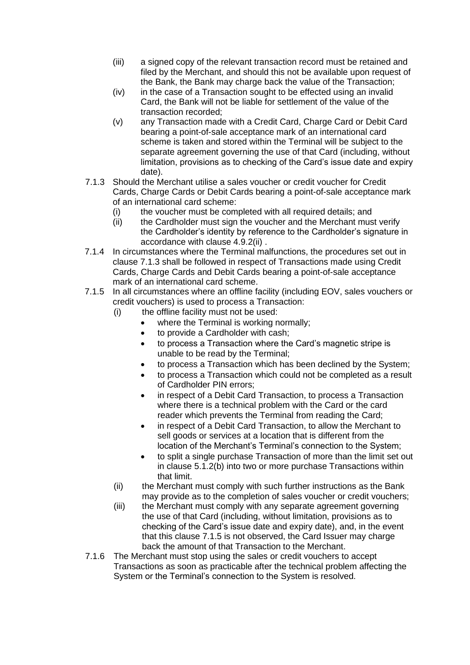- (iii) a signed copy of the relevant transaction record must be retained and filed by the Merchant, and should this not be available upon request of the Bank, the Bank may charge back the value of the Transaction;
- (iv) in the case of a Transaction sought to be effected using an invalid Card, the Bank will not be liable for settlement of the value of the transaction recorded;
- (v) any Transaction made with a Credit Card, Charge Card or Debit Card bearing a point-of-sale acceptance mark of an international card scheme is taken and stored within the Terminal will be subject to the separate agreement governing the use of that Card (including, without limitation, provisions as to checking of the Card's issue date and expiry date).
- 7.1.3 Should the Merchant utilise a sales voucher or credit voucher for Credit Cards, Charge Cards or Debit Cards bearing a point-of-sale acceptance mark of an international card scheme:
	- (i) the voucher must be completed with all required details; and
	- (ii) the Cardholder must sign the voucher and the Merchant must verify the Cardholder's identity by reference to the Cardholder's signature in accordance with clause 4.9.2(ii) .
- 7.1.4 In circumstances where the Terminal malfunctions, the procedures set out in clause 7.1.3 shall be followed in respect of Transactions made using Credit Cards, Charge Cards and Debit Cards bearing a point-of-sale acceptance mark of an international card scheme.
- 7.1.5 In all circumstances where an offline facility (including EOV, sales vouchers or credit vouchers) is used to process a Transaction:
	- (i) the offline facility must not be used:
		- where the Terminal is working normally;
		- to provide a Cardholder with cash;
		- to process a Transaction where the Card's magnetic stripe is unable to be read by the Terminal;
		- to process a Transaction which has been declined by the System;
		- to process a Transaction which could not be completed as a result of Cardholder PIN errors;
		- in respect of a Debit Card Transaction, to process a Transaction where there is a technical problem with the Card or the card reader which prevents the Terminal from reading the Card;
		- in respect of a Debit Card Transaction, to allow the Merchant to sell goods or services at a location that is different from the location of the Merchant's Terminal's connection to the System;
		- to split a single purchase Transaction of more than the limit set out in clause 5.1.2(b) into two or more purchase Transactions within that limit.
	- (ii) the Merchant must comply with such further instructions as the Bank may provide as to the completion of sales voucher or credit vouchers;
	- (iii) the Merchant must comply with any separate agreement governing the use of that Card (including, without limitation, provisions as to checking of the Card's issue date and expiry date), and, in the event that this clause 7.1.5 is not observed, the Card Issuer may charge back the amount of that Transaction to the Merchant.
- 7.1.6 The Merchant must stop using the sales or credit vouchers to accept Transactions as soon as practicable after the technical problem affecting the System or the Terminal's connection to the System is resolved.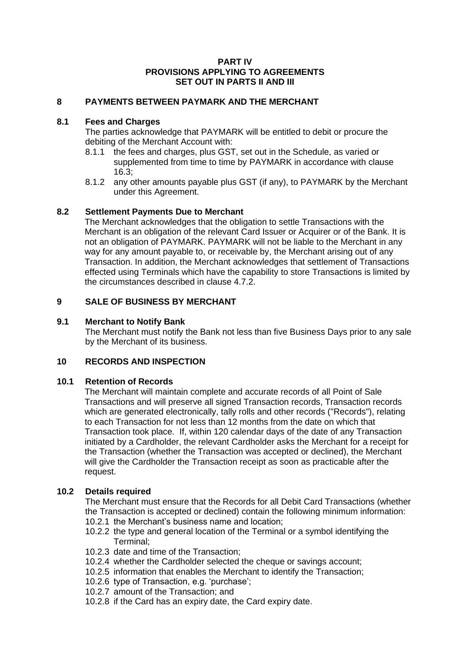#### **PART IV PROVISIONS APPLYING TO AGREEMENTS SET OUT IN PARTS II AND III**

# **8 PAYMENTS BETWEEN PAYMARK AND THE MERCHANT**

#### **8.1 Fees and Charges**

The parties acknowledge that PAYMARK will be entitled to debit or procure the debiting of the Merchant Account with:

- 8.1.1 the fees and charges, plus GST, set out in the Schedule, as varied or supplemented from time to time by PAYMARK in accordance with clause 16.3;
- 8.1.2 any other amounts payable plus GST (if any), to PAYMARK by the Merchant under this Agreement.

#### **8.2 Settlement Payments Due to Merchant**

The Merchant acknowledges that the obligation to settle Transactions with the Merchant is an obligation of the relevant Card Issuer or Acquirer or of the Bank. It is not an obligation of PAYMARK. PAYMARK will not be liable to the Merchant in any way for any amount payable to, or receivable by, the Merchant arising out of any Transaction. In addition, the Merchant acknowledges that settlement of Transactions effected using Terminals which have the capability to store Transactions is limited by the circumstances described in clause 4.7.2.

#### **9 SALE OF BUSINESS BY MERCHANT**

#### **9.1 Merchant to Notify Bank**

The Merchant must notify the Bank not less than five Business Days prior to any sale by the Merchant of its business.

#### **10 RECORDS AND INSPECTION**

#### **10.1 Retention of Records**

The Merchant will maintain complete and accurate records of all Point of Sale Transactions and will preserve all signed Transaction records, Transaction records which are generated electronically, tally rolls and other records ("Records"), relating to each Transaction for not less than 12 months from the date on which that Transaction took place. If, within 120 calendar days of the date of any Transaction initiated by a Cardholder, the relevant Cardholder asks the Merchant for a receipt for the Transaction (whether the Transaction was accepted or declined), the Merchant will give the Cardholder the Transaction receipt as soon as practicable after the request.

#### **10.2 Details required**

The Merchant must ensure that the Records for all Debit Card Transactions (whether the Transaction is accepted or declined) contain the following minimum information: 10.2.1 the Merchant's business name and location;

- 10.2.2 the type and general location of the Terminal or a symbol identifying the Terminal;
- 10.2.3 date and time of the Transaction;
- 10.2.4 whether the Cardholder selected the cheque or savings account;
- 10.2.5 information that enables the Merchant to identify the Transaction;
- 10.2.6 type of Transaction, e.g. 'purchase';
- 10.2.7 amount of the Transaction; and
- 10.2.8 if the Card has an expiry date, the Card expiry date.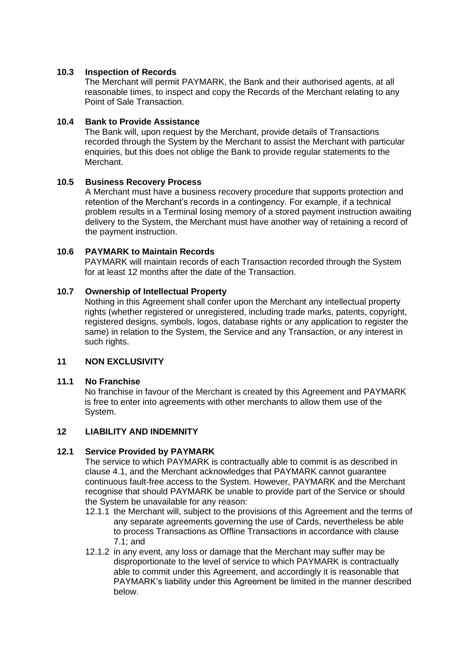## **10.3 Inspection of Records**

The Merchant will permit PAYMARK, the Bank and their authorised agents, at all reasonable times, to inspect and copy the Records of the Merchant relating to any Point of Sale Transaction.

#### **10.4 Bank to Provide Assistance**

The Bank will, upon request by the Merchant, provide details of Transactions recorded through the System by the Merchant to assist the Merchant with particular enquiries, but this does not oblige the Bank to provide regular statements to the Merchant.

# **10.5 Business Recovery Process**

A Merchant must have a business recovery procedure that supports protection and retention of the Merchant's records in a contingency. For example, if a technical problem results in a Terminal losing memory of a stored payment instruction awaiting delivery to the System, the Merchant must have another way of retaining a record of the payment instruction.

# **10.6 PAYMARK to Maintain Records**

PAYMARK will maintain records of each Transaction recorded through the System for at least 12 months after the date of the Transaction.

# **10.7 Ownership of Intellectual Property**

Nothing in this Agreement shall confer upon the Merchant any intellectual property rights (whether registered or unregistered, including trade marks, patents, copyright, registered designs, symbols, logos, database rights or any application to register the same) in relation to the System, the Service and any Transaction, or any interest in such rights.

# **11 NON EXCLUSIVITY**

#### **11.1 No Franchise**

No franchise in favour of the Merchant is created by this Agreement and PAYMARK is free to enter into agreements with other merchants to allow them use of the System.

#### **12 LIABILITY AND INDEMNITY**

#### **12.1 Service Provided by PAYMARK**

The service to which PAYMARK is contractually able to commit is as described in clause 4.1, and the Merchant acknowledges that PAYMARK cannot guarantee continuous fault-free access to the System. However, PAYMARK and the Merchant recognise that should PAYMARK be unable to provide part of the Service or should the System be unavailable for any reason:

- 12.1.1 the Merchant will, subject to the provisions of this Agreement and the terms of any separate agreements governing the use of Cards, nevertheless be able to process Transactions as Offline Transactions in accordance with clause 7.1; and
- 12.1.2 in any event, any loss or damage that the Merchant may suffer may be disproportionate to the level of service to which PAYMARK is contractually able to commit under this Agreement, and accordingly it is reasonable that PAYMARK's liability under this Agreement be limited in the manner described below.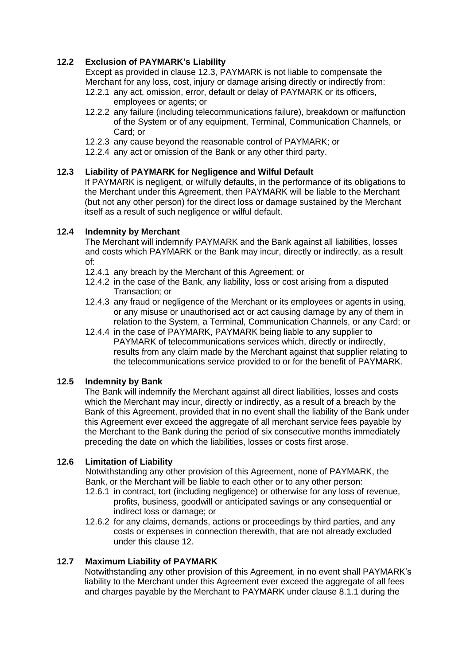## **12.2 Exclusion of PAYMARK's Liability**

Except as provided in clause 12.3, PAYMARK is not liable to compensate the Merchant for any loss, cost, injury or damage arising directly or indirectly from:

- 12.2.1 any act, omission, error, default or delay of PAYMARK or its officers, employees or agents; or
- 12.2.2 any failure (including telecommunications failure), breakdown or malfunction of the System or of any equipment, Terminal, Communication Channels, or Card; or
- 12.2.3 any cause beyond the reasonable control of PAYMARK; or
- 12.2.4 any act or omission of the Bank or any other third party.

#### **12.3 Liability of PAYMARK for Negligence and Wilful Default**

If PAYMARK is negligent, or wilfully defaults, in the performance of its obligations to the Merchant under this Agreement, then PAYMARK will be liable to the Merchant (but not any other person) for the direct loss or damage sustained by the Merchant itself as a result of such negligence or wilful default.

#### **12.4 Indemnity by Merchant**

The Merchant will indemnify PAYMARK and the Bank against all liabilities, losses and costs which PAYMARK or the Bank may incur, directly or indirectly, as a result of:

- 12.4.1 any breach by the Merchant of this Agreement; or
- 12.4.2 in the case of the Bank, any liability, loss or cost arising from a disputed Transaction; or
- 12.4.3 any fraud or negligence of the Merchant or its employees or agents in using, or any misuse or unauthorised act or act causing damage by any of them in relation to the System, a Terminal, Communication Channels, or any Card; or
- 12.4.4 in the case of PAYMARK, PAYMARK being liable to any supplier to PAYMARK of telecommunications services which, directly or indirectly, results from any claim made by the Merchant against that supplier relating to the telecommunications service provided to or for the benefit of PAYMARK.

#### **12.5 Indemnity by Bank**

The Bank will indemnify the Merchant against all direct liabilities, losses and costs which the Merchant may incur, directly or indirectly, as a result of a breach by the Bank of this Agreement, provided that in no event shall the liability of the Bank under this Agreement ever exceed the aggregate of all merchant service fees payable by the Merchant to the Bank during the period of six consecutive months immediately preceding the date on which the liabilities, losses or costs first arose.

# **12.6 Limitation of Liability**

Notwithstanding any other provision of this Agreement, none of PAYMARK, the Bank, or the Merchant will be liable to each other or to any other person:

- 12.6.1 in contract, tort (including negligence) or otherwise for any loss of revenue, profits, business, goodwill or anticipated savings or any consequential or indirect loss or damage; or
- 12.6.2 for any claims, demands, actions or proceedings by third parties, and any costs or expenses in connection therewith, that are not already excluded under this clause 12.

#### **12.7 Maximum Liability of PAYMARK**

Notwithstanding any other provision of this Agreement, in no event shall PAYMARK's liability to the Merchant under this Agreement ever exceed the aggregate of all fees and charges payable by the Merchant to PAYMARK under clause 8.1.1 during the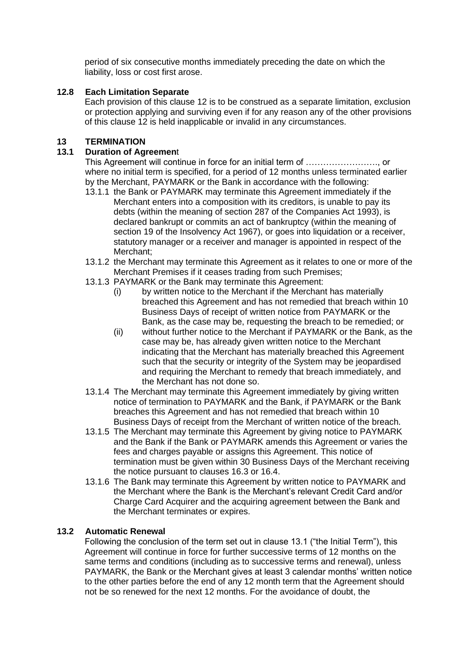period of six consecutive months immediately preceding the date on which the liability, loss or cost first arose.

## **12.8 Each Limitation Separate**

Each provision of this clause 12 is to be construed as a separate limitation, exclusion or protection applying and surviving even if for any reason any of the other provisions of this clause 12 is held inapplicable or invalid in any circumstances.

# **13 TERMINATION**

# **13.1 Duration of Agreemen**t

This Agreement will continue in force for an initial term of ……………………., or where no initial term is specified, for a period of 12 months unless terminated earlier by the Merchant, PAYMARK or the Bank in accordance with the following:

- 13.1.1 the Bank or PAYMARK may terminate this Agreement immediately if the Merchant enters into a composition with its creditors, is unable to pay its debts (within the meaning of section 287 of the Companies Act 1993), is declared bankrupt or commits an act of bankruptcy (within the meaning of section 19 of the Insolvency Act 1967), or goes into liquidation or a receiver, statutory manager or a receiver and manager is appointed in respect of the Merchant;
- 13.1.2 the Merchant may terminate this Agreement as it relates to one or more of the Merchant Premises if it ceases trading from such Premises;
- 13.1.3 PAYMARK or the Bank may terminate this Agreement:
	- (i) by written notice to the Merchant if the Merchant has materially breached this Agreement and has not remedied that breach within 10 Business Days of receipt of written notice from PAYMARK or the Bank, as the case may be, requesting the breach to be remedied; or
	- (ii) without further notice to the Merchant if PAYMARK or the Bank, as the case may be, has already given written notice to the Merchant indicating that the Merchant has materially breached this Agreement such that the security or integrity of the System may be jeopardised and requiring the Merchant to remedy that breach immediately, and the Merchant has not done so.
- 13.1.4 The Merchant may terminate this Agreement immediately by giving written notice of termination to PAYMARK and the Bank, if PAYMARK or the Bank breaches this Agreement and has not remedied that breach within 10 Business Days of receipt from the Merchant of written notice of the breach.
- 13.1.5 The Merchant may terminate this Agreement by giving notice to PAYMARK and the Bank if the Bank or PAYMARK amends this Agreement or varies the fees and charges payable or assigns this Agreement. This notice of termination must be given within 30 Business Days of the Merchant receiving the notice pursuant to clauses 16.3 or 16.4.
- 13.1.6 The Bank may terminate this Agreement by written notice to PAYMARK and the Merchant where the Bank is the Merchant's relevant Credit Card and/or Charge Card Acquirer and the acquiring agreement between the Bank and the Merchant terminates or expires.

## **13.2 Automatic Renewal**

Following the conclusion of the term set out in clause 13.1 ("the Initial Term"), this Agreement will continue in force for further successive terms of 12 months on the same terms and conditions (including as to successive terms and renewal), unless PAYMARK, the Bank or the Merchant gives at least 3 calendar months' written notice to the other parties before the end of any 12 month term that the Agreement should not be so renewed for the next 12 months. For the avoidance of doubt, the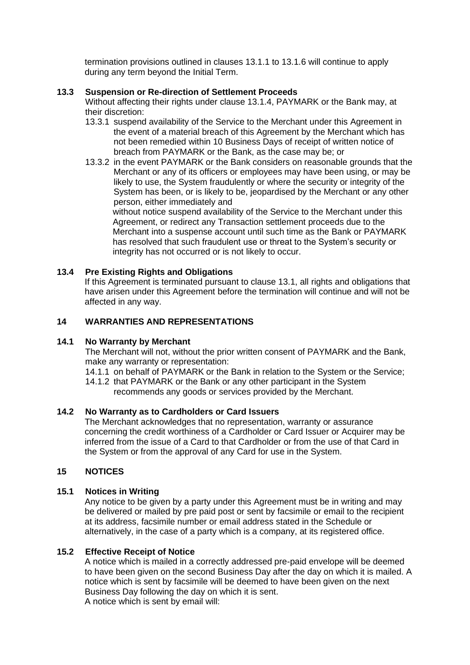termination provisions outlined in clauses 13.1.1 to 13.1.6 will continue to apply during any term beyond the Initial Term.

#### **13.3 Suspension or Re-direction of Settlement Proceeds**

Without affecting their rights under clause 13.1.4, PAYMARK or the Bank may, at their discretion:

- 13.3.1 suspend availability of the Service to the Merchant under this Agreement in the event of a material breach of this Agreement by the Merchant which has not been remedied within 10 Business Days of receipt of written notice of breach from PAYMARK or the Bank, as the case may be; or
- 13.3.2 in the event PAYMARK or the Bank considers on reasonable grounds that the Merchant or any of its officers or employees may have been using, or may be likely to use, the System fraudulently or where the security or integrity of the System has been, or is likely to be, jeopardised by the Merchant or any other person, either immediately and

without notice suspend availability of the Service to the Merchant under this Agreement, or redirect any Transaction settlement proceeds due to the Merchant into a suspense account until such time as the Bank or PAYMARK has resolved that such fraudulent use or threat to the System's security or integrity has not occurred or is not likely to occur.

#### **13.4 Pre Existing Rights and Obligations**

If this Agreement is terminated pursuant to clause 13.1, all rights and obligations that have arisen under this Agreement before the termination will continue and will not be affected in any way.

#### **14 WARRANTIES AND REPRESENTATIONS**

#### **14.1 No Warranty by Merchant**

The Merchant will not, without the prior written consent of PAYMARK and the Bank, make any warranty or representation:

14.1.1 on behalf of PAYMARK or the Bank in relation to the System or the Service;

14.1.2 that PAYMARK or the Bank or any other participant in the System recommends any goods or services provided by the Merchant.

#### **14.2 No Warranty as to Cardholders or Card Issuers**

The Merchant acknowledges that no representation, warranty or assurance concerning the credit worthiness of a Cardholder or Card Issuer or Acquirer may be inferred from the issue of a Card to that Cardholder or from the use of that Card in the System or from the approval of any Card for use in the System.

#### **15 NOTICES**

#### **15.1 Notices in Writing**

Any notice to be given by a party under this Agreement must be in writing and may be delivered or mailed by pre paid post or sent by facsimile or email to the recipient at its address, facsimile number or email address stated in the Schedule or alternatively, in the case of a party which is a company, at its registered office.

#### **15.2 Effective Receipt of Notice**

A notice which is mailed in a correctly addressed pre-paid envelope will be deemed to have been given on the second Business Day after the day on which it is mailed. A notice which is sent by facsimile will be deemed to have been given on the next Business Day following the day on which it is sent. A notice which is sent by email will: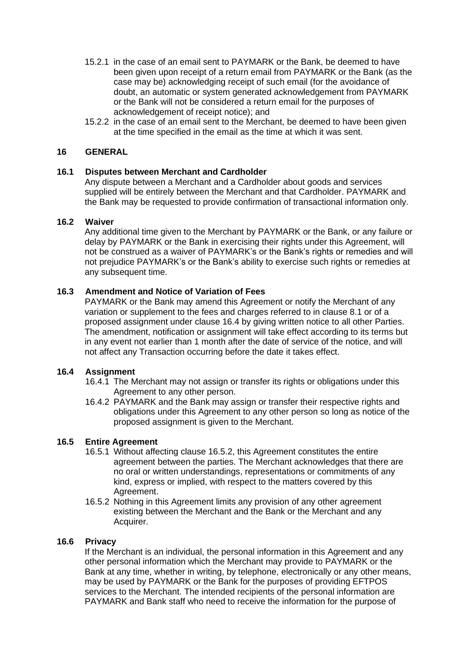- 15.2.1 in the case of an email sent to PAYMARK or the Bank, be deemed to have been given upon receipt of a return email from PAYMARK or the Bank (as the case may be) acknowledging receipt of such email (for the avoidance of doubt, an automatic or system generated acknowledgement from PAYMARK or the Bank will not be considered a return email for the purposes of acknowledgement of receipt notice); and
- 15.2.2 in the case of an email sent to the Merchant, be deemed to have been given at the time specified in the email as the time at which it was sent.

#### **16 GENERAL**

#### **16.1 Disputes between Merchant and Cardholder**

Any dispute between a Merchant and a Cardholder about goods and services supplied will be entirely between the Merchant and that Cardholder. PAYMARK and the Bank may be requested to provide confirmation of transactional information only.

#### **16.2 Waiver**

Any additional time given to the Merchant by PAYMARK or the Bank, or any failure or delay by PAYMARK or the Bank in exercising their rights under this Agreement, will not be construed as a waiver of PAYMARK's or the Bank's rights or remedies and will not prejudice PAYMARK's or the Bank's ability to exercise such rights or remedies at any subsequent time.

## **16.3 Amendment and Notice of Variation of Fees**

PAYMARK or the Bank may amend this Agreement or notify the Merchant of any variation or supplement to the fees and charges referred to in clause 8.1 or of a proposed assignment under clause 16.4 by giving written notice to all other Parties. The amendment, notification or assignment will take effect according to its terms but in any event not earlier than 1 month after the date of service of the notice, and will not affect any Transaction occurring before the date it takes effect.

#### **16.4 Assignment**

- 16.4.1 The Merchant may not assign or transfer its rights or obligations under this Agreement to any other person.
- 16.4.2 PAYMARK and the Bank may assign or transfer their respective rights and obligations under this Agreement to any other person so long as notice of the proposed assignment is given to the Merchant.

#### **16.5 Entire Agreement**

- 16.5.1 Without affecting clause 16.5.2, this Agreement constitutes the entire agreement between the parties. The Merchant acknowledges that there are no oral or written understandings, representations or commitments of any kind, express or implied, with respect to the matters covered by this Agreement.
- 16.5.2 Nothing in this Agreement limits any provision of any other agreement existing between the Merchant and the Bank or the Merchant and any Acquirer.

#### **16.6 Privacy**

If the Merchant is an individual, the personal information in this Agreement and any other personal information which the Merchant may provide to PAYMARK or the Bank at any time, whether in writing, by telephone, electronically or any other means, may be used by PAYMARK or the Bank for the purposes of providing EFTPOS services to the Merchant. The intended recipients of the personal information are PAYMARK and Bank staff who need to receive the information for the purpose of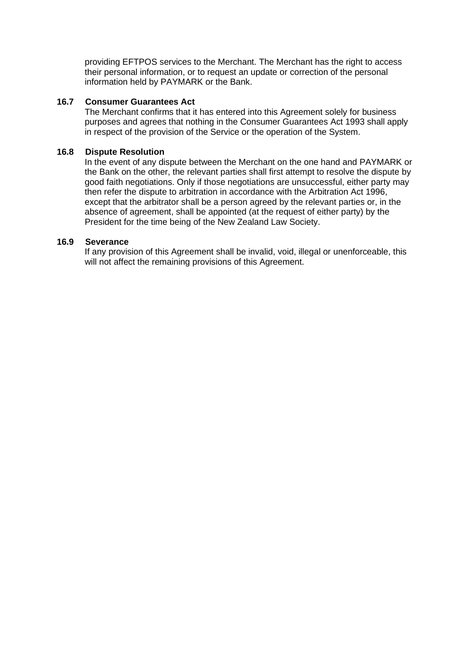providing EFTPOS services to the Merchant. The Merchant has the right to access their personal information, or to request an update or correction of the personal information held by PAYMARK or the Bank.

#### **16.7 Consumer Guarantees Act**

The Merchant confirms that it has entered into this Agreement solely for business purposes and agrees that nothing in the Consumer Guarantees Act 1993 shall apply in respect of the provision of the Service or the operation of the System.

#### **16.8 Dispute Resolution**

In the event of any dispute between the Merchant on the one hand and PAYMARK or the Bank on the other, the relevant parties shall first attempt to resolve the dispute by good faith negotiations. Only if those negotiations are unsuccessful, either party may then refer the dispute to arbitration in accordance with the Arbitration Act 1996, except that the arbitrator shall be a person agreed by the relevant parties or, in the absence of agreement, shall be appointed (at the request of either party) by the President for the time being of the New Zealand Law Society.

#### **16.9 Severance**

If any provision of this Agreement shall be invalid, void, illegal or unenforceable, this will not affect the remaining provisions of this Agreement.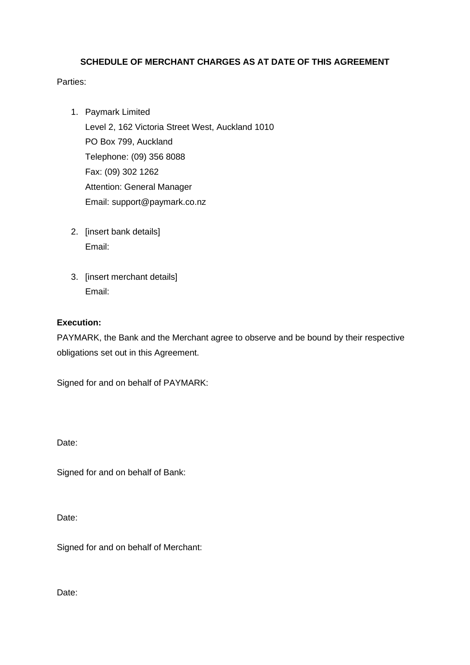# **SCHEDULE OF MERCHANT CHARGES AS AT DATE OF THIS AGREEMENT**

# Parties:

- 1. Paymark Limited Level 2, 162 Victoria Street West, Auckland 1010 PO Box 799, Auckland Telephone: (09) 356 8088 Fax: (09) 302 1262 Attention: General Manager Email: support@paymark.co.nz
- 2. [insert bank details] Email:
- 3. [insert merchant details] Email:

# **Execution:**

PAYMARK, the Bank and the Merchant agree to observe and be bound by their respective obligations set out in this Agreement.

Signed for and on behalf of PAYMARK:

Date:

Signed for and on behalf of Bank:

Date:

Signed for and on behalf of Merchant:

Date: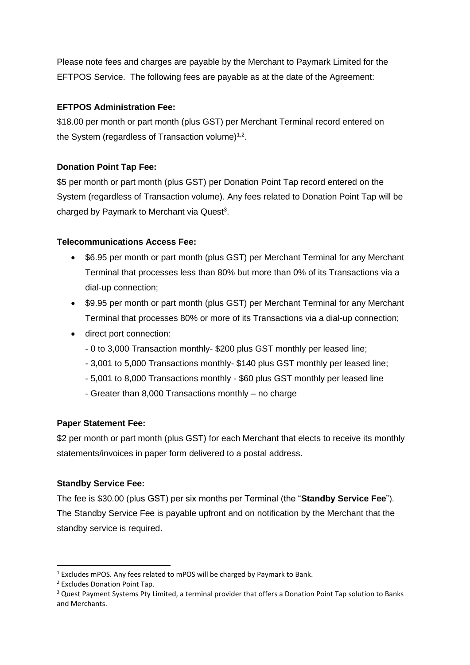Please note fees and charges are payable by the Merchant to Paymark Limited for the EFTPOS Service. The following fees are payable as at the date of the Agreement:

# **EFTPOS Administration Fee:**

\$18.00 per month or part month (plus GST) per Merchant Terminal record entered on the System (regardless of Transaction volume) $1,2$ .

# **Donation Point Tap Fee:**

\$5 per month or part month (plus GST) per Donation Point Tap record entered on the System (regardless of Transaction volume). Any fees related to Donation Point Tap will be charged by Paymark to Merchant via Quest<sup>3</sup>.

# **Telecommunications Access Fee:**

- \$6.95 per month or part month (plus GST) per Merchant Terminal for any Merchant Terminal that processes less than 80% but more than 0% of its Transactions via a dial-up connection;
- \$9.95 per month or part month (plus GST) per Merchant Terminal for any Merchant Terminal that processes 80% or more of its Transactions via a dial-up connection;
- direct port connection:
	- 0 to 3,000 Transaction monthly- \$200 plus GST monthly per leased line;
	- 3,001 to 5,000 Transactions monthly- \$140 plus GST monthly per leased line;
	- 5,001 to 8,000 Transactions monthly \$60 plus GST monthly per leased line
	- Greater than 8,000 Transactions monthly no charge

# **Paper Statement Fee:**

\$2 per month or part month (plus GST) for each Merchant that elects to receive its monthly statements/invoices in paper form delivered to a postal address.

#### **Standby Service Fee:**

The fee is \$30.00 (plus GST) per six months per Terminal (the "**Standby Service Fee**"). The Standby Service Fee is payable upfront and on notification by the Merchant that the standby service is required.

<sup>&</sup>lt;sup>1</sup> Excludes mPOS. Any fees related to mPOS will be charged by Paymark to Bank.

<sup>2</sup> Excludes Donation Point Tap.

<sup>&</sup>lt;sup>3</sup> Quest Payment Systems Pty Limited, a terminal provider that offers a Donation Point Tap solution to Banks and Merchants.